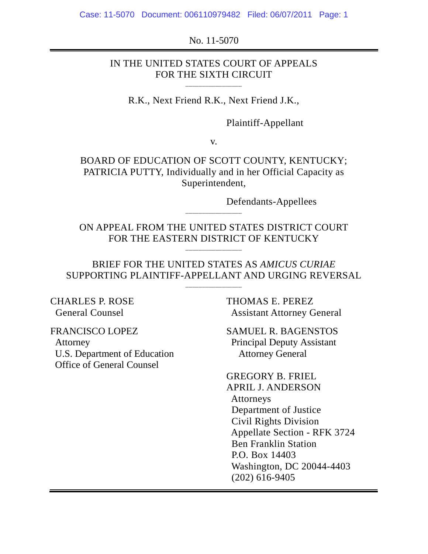No. 11-5070

#### IN THE UNITED STATES COURT OF APPEALS FOR THE SIXTH CIRCUIT

\_\_\_\_\_\_\_\_\_\_\_\_\_\_\_\_\_

R.K., Next Friend R.K., Next Friend J.K.,

Plaintiff-Appellant

v.

BOARD OF EDUCATION OF SCOTT COUNTY, KENTUCKY; PATRICIA PUTTY, Individually and in her Official Capacity as Superintendent,

Defendants-Appellees

ON APPEAL FROM THE UNITED STATES DISTRICT COURT FOR THE EASTERN DISTRICT OF KENTUCKY

\_\_\_\_\_\_\_\_\_\_\_\_\_\_\_\_\_

\_\_\_\_\_\_\_\_\_\_\_\_\_\_\_\_\_

#### BRIEF FOR THE UNITED STATES AS *AMICUS CURIAE* SUPPORTING PLAINTIFF-APPELLANT AND URGING REVERSAL

\_\_\_\_\_\_\_\_\_\_\_\_\_\_\_\_\_

CHARLES P. ROSE THOMAS E. PEREZ

 U.S. Department of Education Attorney General Office of General Counsel

General Counsel **Assistant Attorney General** 

FRANCISCO LOPEZ SAMUEL R. BAGENSTOS Attorney Principal Deputy Assistant

> GREGORY B. FRIEL APRIL J. ANDERSON Attorneys Department of Justice Civil Rights Division Appellate Section - RFK 3724 Ben Franklin Station P.O. Box 14403 Washington, DC 20044-4403 (202) 616-9405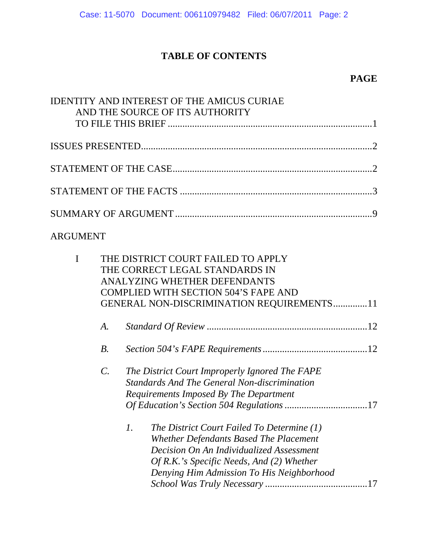# **TABLE OF CONTENTS**

## **PAGE**

|                 | <b>IDENTITY AND INTEREST OF THE AMICUS CURIAE</b><br>AND THE SOURCE OF ITS AUTHORITY                                                                                                                                             |
|-----------------|----------------------------------------------------------------------------------------------------------------------------------------------------------------------------------------------------------------------------------|
|                 |                                                                                                                                                                                                                                  |
|                 |                                                                                                                                                                                                                                  |
|                 |                                                                                                                                                                                                                                  |
|                 |                                                                                                                                                                                                                                  |
|                 |                                                                                                                                                                                                                                  |
| <b>ARGUMENT</b> |                                                                                                                                                                                                                                  |
| $\mathbf I$     | THE DISTRICT COURT FAILED TO APPLY<br>THE CORRECT LEGAL STANDARDS IN<br>ANALYZING WHETHER DEFENDANTS<br><b>COMPLIED WITH SECTION 504'S FAPE AND</b><br>GENERAL NON-DISCRIMINATION REQUIREMENTS11                                 |
| A.              |                                                                                                                                                                                                                                  |
| $B$ .           |                                                                                                                                                                                                                                  |
| $\mathcal{C}$ . | The District Court Improperly Ignored The FAPE<br><b>Standards And The General Non-discrimination</b><br>Requirements Imposed By The Department                                                                                  |
|                 | 1.<br>The District Court Failed To Determine (1)<br>Whether Defendants Based The Placement<br>Decision On An Individualized Assessment<br>Of R.K.'s Specific Needs, And (2) Whether<br>Denying Him Admission To His Neighborhood |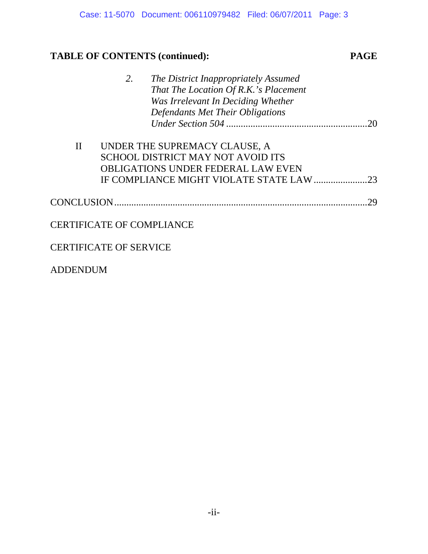# **TABLE OF CONTENTS (continued): PAGE**

|                   | 2.                               | The District Inappropriately Assumed      |    |
|-------------------|----------------------------------|-------------------------------------------|----|
|                   |                                  | That The Location Of R.K.'s Placement     |    |
|                   |                                  | Was Irrelevant In Deciding Whether        |    |
|                   |                                  | Defendants Met Their Obligations          |    |
|                   |                                  |                                           | 20 |
|                   |                                  |                                           |    |
| $\rm II$          |                                  | UNDER THE SUPREMACY CLAUSE, A             |    |
|                   |                                  | SCHOOL DISTRICT MAY NOT AVOID ITS         |    |
|                   |                                  | <b>OBLIGATIONS UNDER FEDERAL LAW EVEN</b> |    |
|                   |                                  |                                           | 23 |
|                   |                                  |                                           |    |
| <b>CONCLUSION</b> |                                  |                                           | 29 |
|                   |                                  |                                           |    |
|                   | <b>CERTIFICATE OF COMPLIANCE</b> |                                           |    |
|                   |                                  |                                           |    |
|                   | <b>CERTIFICATE OF SERVICE</b>    |                                           |    |

ADDENDUM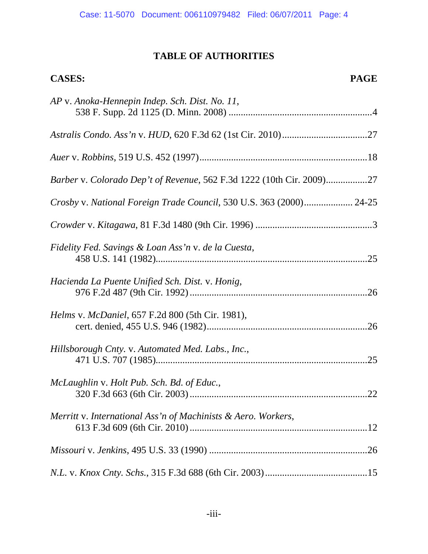#### **TABLE OF AUTHORITIES**

# **CASES: PAGE** *AP* v. *Anoka-Hennepin Indep. Sch. Dist. No. 11*, 538 F. Supp. 2d 1125 (D. Minn. 2008) ...........................................................4 *Astralis Condo. Ass'n* v. *HUD*, 620 F.3d 62 (1st Cir. 2010)...................................27 *Auer* v. *Robbins*, 519 U.S. 452 (1997).....................................................................18 *Barber* v. *Colorado Dep't of Revenue*, 562 F.3d 1222 (10th Cir. 2009).................27 *Crosby* v. *National Foreign Trade Council*, 530 U.S. 363 (2000).................... 24-25 *Crowder* v. *Kitagawa*, 81 F.3d 1480 (9th Cir. 1996) ................................................3 *Fidelity Fed. Savings & Loan Ass'n* v. *de la Cuesta*, 458 U.S. 141 (1982).......................................................................................25 *Hacienda La Puente Unified Sch. Dist.* v. *Honig*, 976 F.2d 487 (9th Cir. 1992).........................................................................26 *Helms* v. *McDaniel*, 657 F.2d 800 (5th Cir. 1981), cert. denied, 455 U.S. 946 (1982)..................................................................26 *Hillsborough Cnty.* v. *Automated Med. Labs., Inc.*, 471 U.S. 707 (1985).......................................................................................25

| McLaughlin v. Holt Pub. Sch. Bd. of Educ.,                    |  |
|---------------------------------------------------------------|--|
| Merritt v. International Ass'n of Machinists & Aero. Workers, |  |
|                                                               |  |

*N.L.* v. *Knox Cnty. Schs.*, 315 F.3d 688 (6th Cir. 2003)..........................................15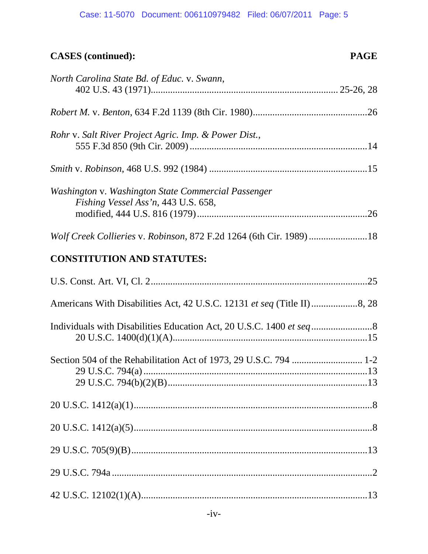#### Case: 11-5070 Document: 006110979482 Filed: 06/07/2011 Page: 5

# **CASES (continued): PAGE**

| North Carolina State Bd. of Educ. v. Swann,                                                |
|--------------------------------------------------------------------------------------------|
|                                                                                            |
|                                                                                            |
| Rohr v. Salt River Project Agric. Imp. & Power Dist.,                                      |
|                                                                                            |
| Washington v. Washington State Commercial Passenger<br>Fishing Vessel Ass'n, 443 U.S. 658, |
| Wolf Creek Collieries v. Robinson, 872 F.2d 1264 (6th Cir. 1989)18                         |
| <b>CONSTITUTION AND STATUTES:</b>                                                          |
|                                                                                            |
| Americans With Disabilities Act, 42 U.S.C. 12131 et seq (Title II)8, 28                    |
|                                                                                            |
| Section 504 of the Rehabilitation Act of 1973, 29 U.S.C. 794  1-2                          |
|                                                                                            |
|                                                                                            |
|                                                                                            |
|                                                                                            |
|                                                                                            |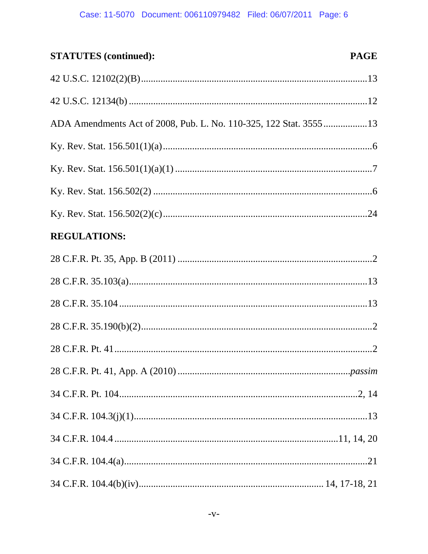#### **STATUTES** (continued): **PAGE**

| ADA Amendments Act of 2008, Pub. L. No. 110-325, 122 Stat. 355513 |  |
|-------------------------------------------------------------------|--|
|                                                                   |  |
|                                                                   |  |
|                                                                   |  |
|                                                                   |  |
| <b>REGULATIONS:</b>                                               |  |
|                                                                   |  |
|                                                                   |  |
|                                                                   |  |
|                                                                   |  |
|                                                                   |  |
|                                                                   |  |
|                                                                   |  |
|                                                                   |  |
|                                                                   |  |
|                                                                   |  |
|                                                                   |  |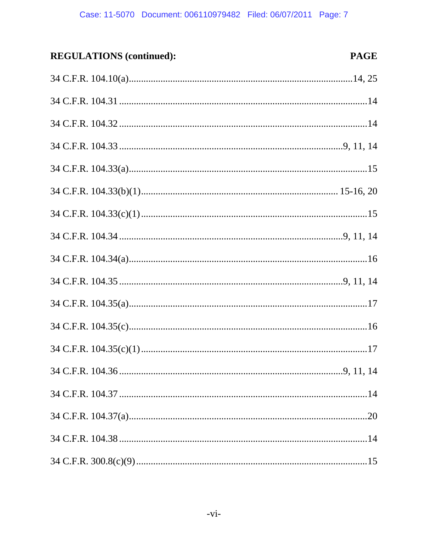#### **REGULATIONS** (continued): **PAGE**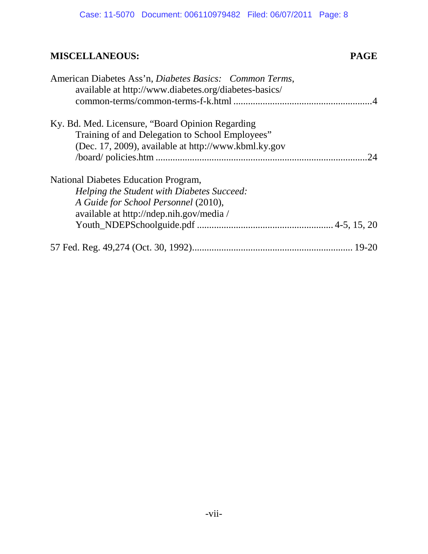# **MISCELLANEOUS: PAGE**

| American Diabetes Ass'n, Diabetes Basics: Common Terms,<br>available at http://www.diabetes.org/diabetes-basics/ |  |
|------------------------------------------------------------------------------------------------------------------|--|
| Ky. Bd. Med. Licensure, "Board Opinion Regarding"                                                                |  |
| Training of and Delegation to School Employees"                                                                  |  |
| (Dec. 17, 2009), available at http://www.kbml.ky.gov                                                             |  |
| 24                                                                                                               |  |
| National Diabetes Education Program,                                                                             |  |
| Helping the Student with Diabetes Succeed:                                                                       |  |
| A Guide for School Personnel (2010),                                                                             |  |
| available at http://ndep.nih.gov/media/                                                                          |  |
|                                                                                                                  |  |
|                                                                                                                  |  |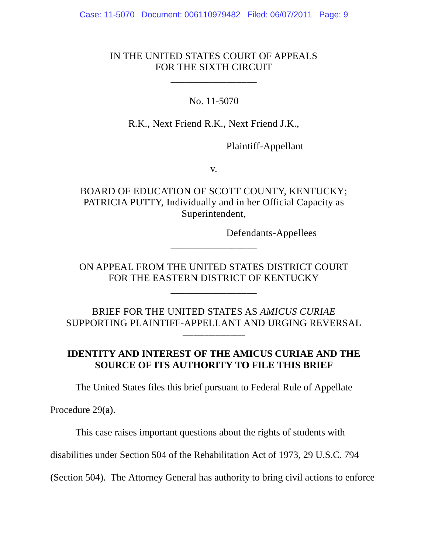#### IN THE UNITED STATES COURT OF APPEALS FOR THE SIXTH CIRCUIT

\_\_\_\_\_\_\_\_\_\_\_\_\_\_\_\_\_

No. 11-5070

R.K., Next Friend R.K., Next Friend J.K.,

Plaintiff-Appellant

v.

BOARD OF EDUCATION OF SCOTT COUNTY, KENTUCKY; PATRICIA PUTTY, Individually and in her Official Capacity as Superintendent,

Defendants-Appellees

ON APPEAL FROM THE UNITED STATES DISTRICT COURT FOR THE EASTERN DISTRICT OF KENTUCKY

\_\_\_\_\_\_\_\_\_\_\_\_\_\_\_\_\_

\_\_\_\_\_\_\_\_\_\_\_\_\_\_\_\_\_

BRIEF FOR THE UNITED STATES AS *AMICUS CURIAE* SUPPORTING PLAINTIFF-APPELLANT AND URGING REVERSAL

\_\_\_\_\_\_\_\_\_\_\_\_\_\_\_\_\_\_\_

### **IDENTITY AND INTEREST OF THE AMICUS CURIAE AND THE SOURCE OF ITS AUTHORITY TO FILE THIS BRIEF**

The United States files this brief pursuant to Federal Rule of Appellate

Procedure 29(a).

This case raises important questions about the rights of students with

disabilities under Section 504 of the Rehabilitation Act of 1973, 29 U.S.C. 794

(Section 504). The Attorney General has authority to bring civil actions to enforce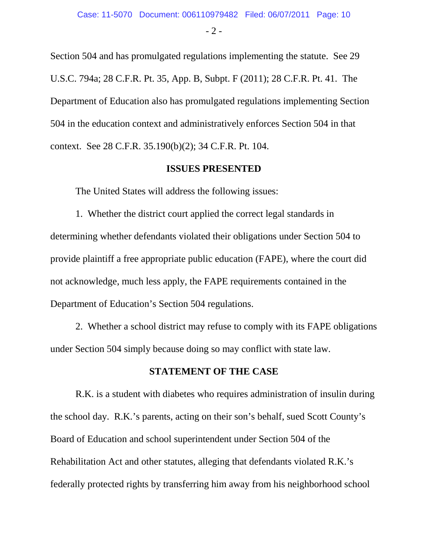- 2 -

Section 504 and has promulgated regulations implementing the statute. See 29 U.S.C. 794a; 28 C.F.R. Pt. 35, App. B, Subpt. F (2011); 28 C.F.R. Pt. 41. The Department of Education also has promulgated regulations implementing Section 504 in the education context and administratively enforces Section 504 in that context. See 28 C.F.R. 35.190(b)(2); 34 C.F.R. Pt. 104.

#### **ISSUES PRESENTED**

The United States will address the following issues:

1. Whether the district court applied the correct legal standards in determining whether defendants violated their obligations under Section 504 to provide plaintiff a free appropriate public education (FAPE), where the court did not acknowledge, much less apply, the FAPE requirements contained in the Department of Education's Section 504 regulations.

2. Whether a school district may refuse to comply with its FAPE obligations under Section 504 simply because doing so may conflict with state law.

#### **STATEMENT OF THE CASE**

R.K. is a student with diabetes who requires administration of insulin during the school day. R.K.'s parents, acting on their son's behalf, sued Scott County's Board of Education and school superintendent under Section 504 of the Rehabilitation Act and other statutes, alleging that defendants violated R.K.'s federally protected rights by transferring him away from his neighborhood school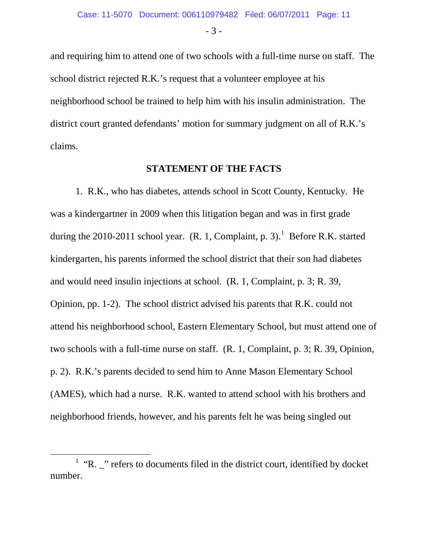- 3 -

and requiring him to attend one of two schools with a full-time nurse on staff. The school district rejected R.K.'s request that a volunteer employee at his neighborhood school be trained to help him with his insulin administration. The district court granted defendants' motion for summary judgment on all of R.K.'s claims.

#### **STATEMENT OF THE FACTS**

1. R.K., who has diabetes, attends school in Scott County, Kentucky. He was a kindergartner in 2009 when this litigation began and was in first grade during the 20[1](#page-10-0)0-2011 school year.  $(R. 1, Complaint, p. 3)$ . Before R.K. started kindergarten, his parents informed the school district that their son had diabetes and would need insulin injections at school. (R. 1, Complaint, p. 3; R. 39, Opinion, pp. 1-2). The school district advised his parents that R.K. could not attend his neighborhood school, Eastern Elementary School, but must attend one of two schools with a full-time nurse on staff. (R. 1, Complaint, p. 3; R. 39, Opinion, p. 2). R.K.'s parents decided to send him to Anne Mason Elementary School (AMES), which had a nurse. R.K. wanted to attend school with his brothers and neighborhood friends, however, and his parents felt he was being singled out

<span id="page-10-0"></span> $1$  "R.  $\frac{1}{2}$ " refers to documents filed in the district court, identified by docket number.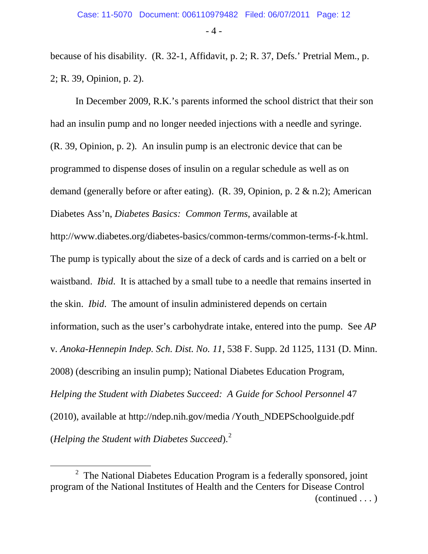- 4 -

because of his disability. (R. 32-1, Affidavit, p. 2; R. 37, Defs.' Pretrial Mem., p. 2; R. 39, Opinion, p. 2).

In December 2009, R.K.'s parents informed the school district that their son had an insulin pump and no longer needed injections with a needle and syringe. (R. 39, Opinion, p. 2). An insulin pump is an electronic device that can be programmed to dispense doses of insulin on a regular schedule as well as on demand (generally before or after eating). (R. 39, Opinion, p. 2 & n.2); American Diabetes Ass'n, *Diabetes Basics: Common Terms*, available at http://www.diabetes.org/diabetes-basics/common-terms/common-terms-f-k.html. The pump is typically about the size of a deck of cards and is carried on a belt or waistband. *Ibid*. It is attached by a small tube to a needle that remains inserted in the skin. *Ibid*. The amount of insulin administered depends on certain information, such as the user's carbohydrate intake, entered into the pump. See *AP*  v*. Anoka-Hennepin Indep. Sch. Dist. No. 11*, 538 F. Supp. 2d 1125, 1131 (D. Minn. 2008) (describing an insulin pump); National Diabetes Education Program, *Helping the Student with Diabetes Succeed: A Guide for School Personnel 47* (2010), available at http://ndep.nih.gov/media /Youth\_NDEPSchoolguide.pdf (*Helping the Student with Diabetes Succeed*). [2](#page-11-0)

<span id="page-11-0"></span> $\overline{\phantom{a}}$  $2$  The National Diabetes Education Program is a federally sponsored, joint program of the National Institutes of Health and the Centers for Disease Control (continued . . . )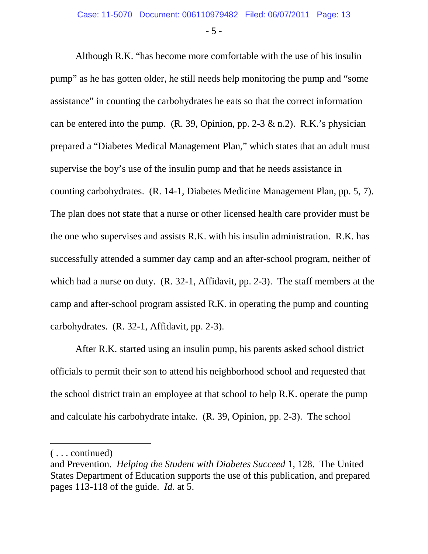- 5 -

Although R.K. "has become more comfortable with the use of his insulin pump" as he has gotten older, he still needs help monitoring the pump and "some assistance" in counting the carbohydrates he eats so that the correct information can be entered into the pump.  $(R, 39,$  Opinion, pp. 2-3 & n.2).  $R.K.'s$  physician prepared a "Diabetes Medical Management Plan," which states that an adult must supervise the boy's use of the insulin pump and that he needs assistance in counting carbohydrates. (R. 14-1, Diabetes Medicine Management Plan, pp. 5, 7). The plan does not state that a nurse or other licensed health care provider must be the one who supervises and assists R.K. with his insulin administration. R.K. has successfully attended a summer day camp and an after-school program, neither of which had a nurse on duty. (R. 32-1, Affidavit, pp. 2-3). The staff members at the camp and after-school program assisted R.K. in operating the pump and counting carbohydrates. (R. 32-1, Affidavit, pp. 2-3).

After R.K. started using an insulin pump, his parents asked school district officials to permit their son to attend his neighborhood school and requested that the school district train an employee at that school to help R.K. operate the pump and calculate his carbohydrate intake. (R. 39, Opinion, pp. 2-3). The school

 $\overline{a}$ 

<sup>( . . .</sup> continued)

and Prevention. *Helping the Student with Diabetes Succeed* 1, 128. The United States Department of Education supports the use of this publication, and prepared pages 113-118 of the guide. *Id.* at 5.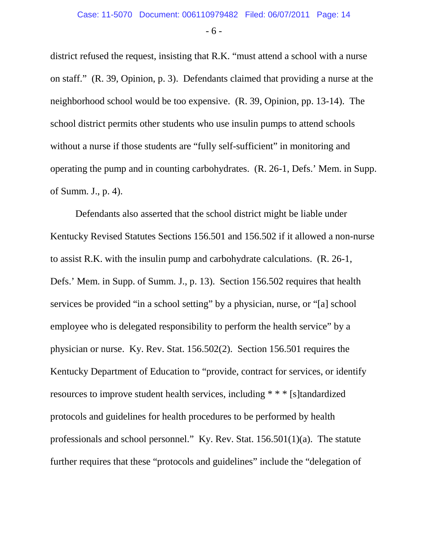- 6 -

district refused the request, insisting that R.K. "must attend a school with a nurse on staff." (R. 39, Opinion, p. 3). Defendants claimed that providing a nurse at the neighborhood school would be too expensive. (R. 39, Opinion, pp. 13-14). The school district permits other students who use insulin pumps to attend schools without a nurse if those students are "fully self-sufficient" in monitoring and operating the pump and in counting carbohydrates. (R. 26-1, Defs.' Mem. in Supp. of Summ. J., p. 4).

Defendants also asserted that the school district might be liable under Kentucky Revised Statutes Sections 156.501 and 156.502 if it allowed a non-nurse to assist R.K. with the insulin pump and carbohydrate calculations. (R. 26-1, Defs.' Mem. in Supp. of Summ. J., p. 13). Section 156.502 requires that health services be provided "in a school setting" by a physician, nurse, or "[a] school employee who is delegated responsibility to perform the health service" by a physician or nurse. Ky. Rev. Stat. 156.502(2). Section 156.501 requires the Kentucky Department of Education to "provide, contract for services, or identify resources to improve student health services, including \* \* \* [s]tandardized protocols and guidelines for health procedures to be performed by health professionals and school personnel." Ky. Rev. Stat. 156.501(1)(a). The statute further requires that these "protocols and guidelines" include the "delegation of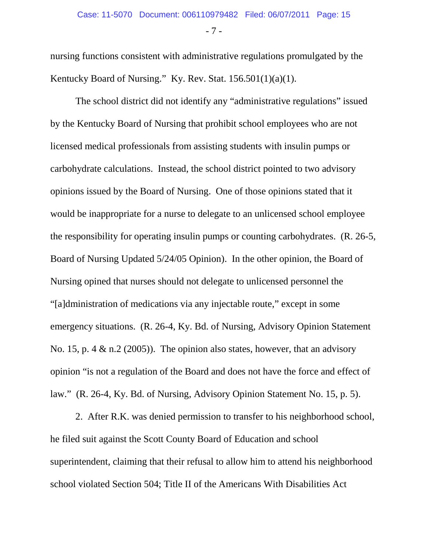- 7 -

nursing functions consistent with administrative regulations promulgated by the Kentucky Board of Nursing." Ky. Rev. Stat. 156.501(1)(a)(1).

The school district did not identify any "administrative regulations" issued by the Kentucky Board of Nursing that prohibit school employees who are not licensed medical professionals from assisting students with insulin pumps or carbohydrate calculations. Instead, the school district pointed to two advisory opinions issued by the Board of Nursing. One of those opinions stated that it would be inappropriate for a nurse to delegate to an unlicensed school employee the responsibility for operating insulin pumps or counting carbohydrates. (R. 26-5, Board of Nursing Updated 5/24/05 Opinion). In the other opinion, the Board of Nursing opined that nurses should not delegate to unlicensed personnel the "[a]dministration of medications via any injectable route," except in some emergency situations. (R. 26-4, Ky. Bd. of Nursing, Advisory Opinion Statement No. 15, p. 4  $\&$  n.2 (2005)). The opinion also states, however, that an advisory opinion "is not a regulation of the Board and does not have the force and effect of law." (R. 26-4, Ky. Bd. of Nursing, Advisory Opinion Statement No. 15, p. 5).

2. After R.K. was denied permission to transfer to his neighborhood school, he filed suit against the Scott County Board of Education and school superintendent, claiming that their refusal to allow him to attend his neighborhood school violated Section 504; Title II of the Americans With Disabilities Act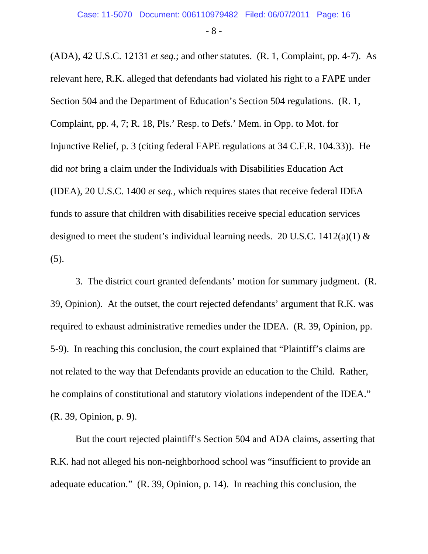- 8 -

(ADA), 42 U.S.C. 12131 *et seq.*; and other statutes. (R. 1, Complaint, pp. 4-7). As relevant here, R.K. alleged that defendants had violated his right to a FAPE under Section 504 and the Department of Education's Section 504 regulations. (R. 1, Complaint, pp. 4, 7; R. 18, Pls.' Resp. to Defs.' Mem. in Opp. to Mot. for Injunctive Relief, p. 3 (citing federal FAPE regulations at 34 C.F.R. 104.33)). He did *not* bring a claim under the Individuals with Disabilities Education Act (IDEA), 20 U.S.C. 1400 *et seq.*, which requires states that receive federal IDEA funds to assure that children with disabilities receive special education services designed to meet the student's individual learning needs. 20 U.S.C. 1412(a)(1)  $\&$ (5).

3. The district court granted defendants' motion for summary judgment. (R. 39, Opinion). At the outset, the court rejected defendants' argument that R.K. was required to exhaust administrative remedies under the IDEA. (R. 39, Opinion, pp. 5-9). In reaching this conclusion, the court explained that "Plaintiff's claims are not related to the way that Defendants provide an education to the Child. Rather, he complains of constitutional and statutory violations independent of the IDEA." (R. 39, Opinion, p. 9).

But the court rejected plaintiff's Section 504 and ADA claims, asserting that R.K. had not alleged his non-neighborhood school was "insufficient to provide an adequate education." (R. 39, Opinion, p. 14). In reaching this conclusion, the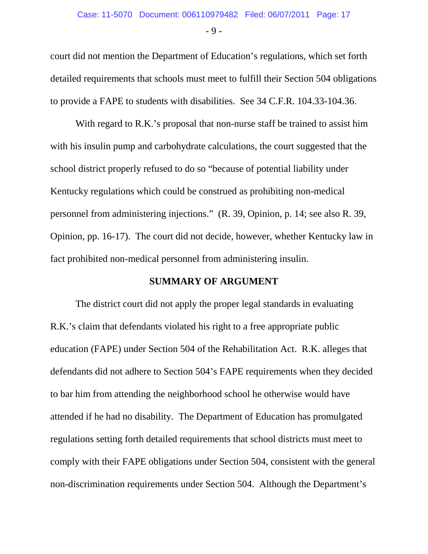- 9 -

court did not mention the Department of Education's regulations, which set forth detailed requirements that schools must meet to fulfill their Section 504 obligations to provide a FAPE to students with disabilities. See 34 C.F.R. 104.33-104.36.

With regard to R.K.'s proposal that non-nurse staff be trained to assist him with his insulin pump and carbohydrate calculations, the court suggested that the school district properly refused to do so "because of potential liability under Kentucky regulations which could be construed as prohibiting non-medical personnel from administering injections." (R. 39, Opinion, p. 14; see also R. 39, Opinion, pp. 16-17). The court did not decide, however, whether Kentucky law in fact prohibited non-medical personnel from administering insulin.

#### **SUMMARY OF ARGUMENT**

The district court did not apply the proper legal standards in evaluating R.K.'s claim that defendants violated his right to a free appropriate public education (FAPE) under Section 504 of the Rehabilitation Act. R.K. alleges that defendants did not adhere to Section 504's FAPE requirements when they decided to bar him from attending the neighborhood school he otherwise would have attended if he had no disability. The Department of Education has promulgated regulations setting forth detailed requirements that school districts must meet to comply with their FAPE obligations under Section 504, consistent with the general non-discrimination requirements under Section 504. Although the Department's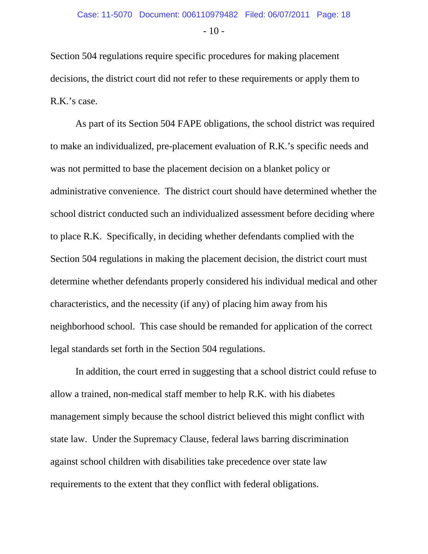$-10-$ 

Section 504 regulations require specific procedures for making placement decisions, the district court did not refer to these requirements or apply them to R.K.'s case.

As part of its Section 504 FAPE obligations, the school district was required to make an individualized, pre-placement evaluation of R.K.'s specific needs and was not permitted to base the placement decision on a blanket policy or administrative convenience. The district court should have determined whether the school district conducted such an individualized assessment before deciding where to place R.K. Specifically, in deciding whether defendants complied with the Section 504 regulations in making the placement decision, the district court must determine whether defendants properly considered his individual medical and other characteristics, and the necessity (if any) of placing him away from his neighborhood school. This case should be remanded for application of the correct legal standards set forth in the Section 504 regulations.

In addition, the court erred in suggesting that a school district could refuse to allow a trained, non-medical staff member to help R.K. with his diabetes management simply because the school district believed this might conflict with state law. Under the Supremacy Clause, federal laws barring discrimination against school children with disabilities take precedence over state law requirements to the extent that they conflict with federal obligations.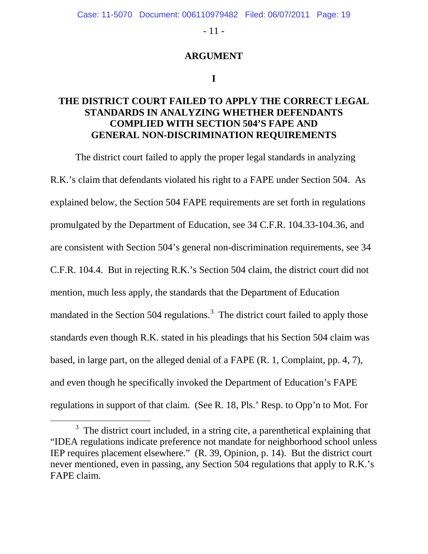- 11 -

#### **ARGUMENT**

#### **I**

#### **THE DISTRICT COURT FAILED TO APPLY THE CORRECT LEGAL STANDARDS IN ANALYZING WHETHER DEFENDANTS COMPLIED WITH SECTION 504'S FAPE AND GENERAL NON-DISCRIMINATION REQUIREMENTS**

The district court failed to apply the proper legal standards in analyzing R.K.'s claim that defendants violated his right to a FAPE under Section 504. As explained below, the Section 504 FAPE requirements are set forth in regulations promulgated by the Department of Education, see 34 C.F.R. 104.33-104.36, and are consistent with Section 504's general non-discrimination requirements, see 34 C.F.R. 104.4. But in rejecting R.K.'s Section 504 claim, the district court did not mention, much less apply, the standards that the Department of Education mandated in the Section 504 regulations.<sup>[3](#page-18-0)</sup> The district court failed to apply those standards even though R.K. stated in his pleadings that his Section 504 claim was based, in large part, on the alleged denial of a FAPE (R. 1, Complaint, pp. 4, 7), and even though he specifically invoked the Department of Education's FAPE regulations in support of that claim. (See R. 18, Pls.' Resp. to Opp'n to Mot. For

<span id="page-18-0"></span> $\overline{\phantom{a}}$  3  $3$  The district court included, in a string cite, a parenthetical explaining that "IDEA regulations indicate preference not mandate for neighborhood school unless IEP requires placement elsewhere." (R. 39, Opinion, p. 14). But the district court never mentioned, even in passing, any Section 504 regulations that apply to R.K.'s FAPE claim.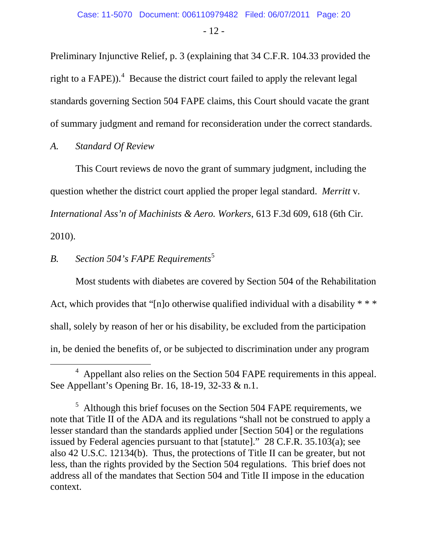- 12 -

Preliminary Injunctive Relief, p. 3 (explaining that 34 C.F.R. 104.33 provided the right to a FAPE)).<sup>[4](#page-19-0)</sup> Because the district court failed to apply the relevant legal standards governing Section 504 FAPE claims, this Court should vacate the grant of summary judgment and remand for reconsideration under the correct standards.

#### *A. Standard Of Review*

This Court reviews de novo the grant of summary judgment, including the question whether the district court applied the proper legal standard. *Merritt* v*. International Ass'n of Machinists & Aero. Workers*, 613 F.3d 609, 618 (6th Cir. 2010).

## *B. Section 504's FAPE Requirements* [5](#page-19-1)

Most students with diabetes are covered by Section 504 of the Rehabilitation Act, which provides that "[n]o otherwise qualified individual with a disability  $***$ shall, solely by reason of her or his disability, be excluded from the participation in, be denied the benefits of, or be subjected to discrimination under any program

<span id="page-19-0"></span> $\overline{4}$  $4$  Appellant also relies on the Section 504 FAPE requirements in this appeal. See Appellant's Opening Br. 16, 18-19, 32-33 & n.1.

<span id="page-19-1"></span> $<sup>5</sup>$  Although this brief focuses on the Section 504 FAPE requirements, we</sup> note that Title II of the ADA and its regulations "shall not be construed to apply a lesser standard than the standards applied under [Section 504] or the regulations issued by Federal agencies pursuant to that [statute]." 28 C.F.R. 35.103(a); see also 42 U.S.C. 12134(b). Thus, the protections of Title II can be greater, but not less, than the rights provided by the Section 504 regulations. This brief does not address all of the mandates that Section 504 and Title II impose in the education context.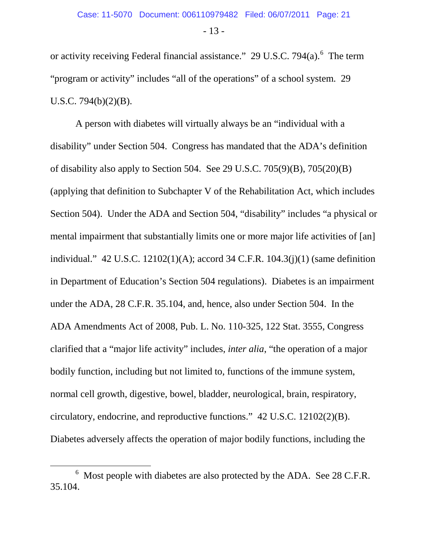- 13 -

or activity receiving Federal financial assistance."  $29 \text{ U.S.C. } 794(a)$ . The term "program or activity" includes "all of the operations" of a school system. 29 U.S.C. 794(b)(2)(B).

A person with diabetes will virtually always be an "individual with a disability" under Section 504. Congress has mandated that the ADA's definition of disability also apply to Section 504. See 29 U.S.C. 705(9)(B), 705(20)(B) (applying that definition to Subchapter V of the Rehabilitation Act, which includes Section 504). Under the ADA and Section 504, "disability" includes "a physical or mental impairment that substantially limits one or more major life activities of [an] individual." 42 U.S.C. 12102(1)(A); accord 34 C.F.R. 104.3(j)(1) (same definition in Department of Education's Section 504 regulations). Diabetes is an impairment under the ADA, 28 C.F.R. 35.104, and, hence, also under Section 504. In the ADA Amendments Act of 2008, Pub. L. No. 110-325, 122 Stat. 3555, Congress clarified that a "major life activity" includes, *inter alia*, "the operation of a major bodily function, including but not limited to, functions of the immune system, normal cell growth, digestive, bowel, bladder, neurological, brain, respiratory, circulatory, endocrine, and reproductive functions." 42 U.S.C. 12102(2)(B). Diabetes adversely affects the operation of major bodily functions, including the

<span id="page-20-0"></span> <sup>6</sup>  $6$  Most people with diabetes are also protected by the ADA. See 28 C.F.R. 35.104.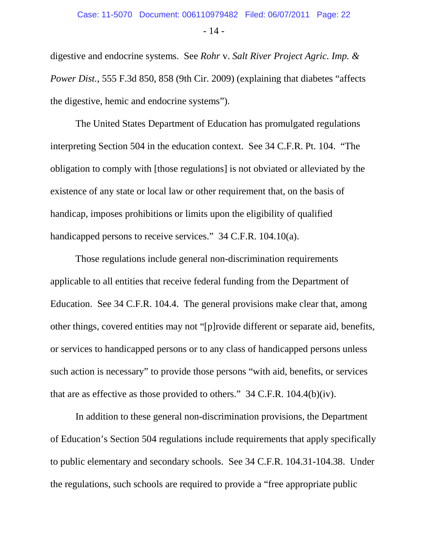- 14 -

digestive and endocrine systems. See *Rohr* v. *Salt River Project Agric. Imp. & Power Dist.*, 555 F.3d 850, 858 (9th Cir. 2009) (explaining that diabetes "affects the digestive, hemic and endocrine systems").

The United States Department of Education has promulgated regulations interpreting Section 504 in the education context. See 34 C.F.R. Pt. 104. "The obligation to comply with [those regulations] is not obviated or alleviated by the existence of any state or local law or other requirement that, on the basis of handicap, imposes prohibitions or limits upon the eligibility of qualified handicapped persons to receive services." 34 C.F.R. 104.10(a).

Those regulations include general non-discrimination requirements applicable to all entities that receive federal funding from the Department of Education. See 34 C.F.R. 104.4. The general provisions make clear that, among other things, covered entities may not "[p]rovide different or separate aid, benefits, or services to handicapped persons or to any class of handicapped persons unless such action is necessary" to provide those persons "with aid, benefits, or services that are as effective as those provided to others." 34 C.F.R. 104.4(b)(iv).

In addition to these general non-discrimination provisions, the Department of Education's Section 504 regulations include requirements that apply specifically to public elementary and secondary schools. See 34 C.F.R. 104.31-104.38. Under the regulations, such schools are required to provide a "free appropriate public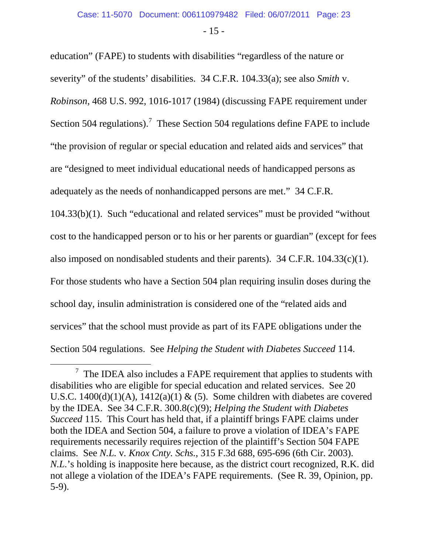- 15 -

education" (FAPE) to students with disabilities "regardless of the nature or severity" of the students' disabilities. 34 C.F.R. 104.33(a); see also *Smith* v. *Robinson*, 468 U.S. 992, 1016-1017 (1984) (discussing FAPE requirement under Section 504 regulations).<sup>[7](#page-22-0)</sup> These Section 504 regulations define FAPE to include "the provision of regular or special education and related aids and services" that are "designed to meet individual educational needs of handicapped persons as adequately as the needs of nonhandicapped persons are met." 34 C.F.R. 104.33(b)(1). Such "educational and related services" must be provided "without cost to the handicapped person or to his or her parents or guardian" (except for fees also imposed on nondisabled students and their parents). 34 C.F.R. 104.33(c)(1). For those students who have a Section 504 plan requiring insulin doses during the school day, insulin administration is considered one of the "related aids and services" that the school must provide as part of its FAPE obligations under the Section 504 regulations. See *Helping the Student with Diabetes Succeed* 114.

<span id="page-22-0"></span> $\overline{7}$  $\frac{7}{1}$  The IDEA also includes a FAPE requirement that applies to students with disabilities who are eligible for special education and related services. See 20 U.S.C. 1400(d)(1)(A), 1412(a)(1) & (5). Some children with diabetes are covered by the IDEA. See 34 C.F.R. 300.8(c)(9); *Helping the Student with Diabetes Succeed* 115. This Court has held that, if a plaintiff brings FAPE claims under both the IDEA and Section 504, a failure to prove a violation of IDEA's FAPE requirements necessarily requires rejection of the plaintiff's Section 504 FAPE claims. See *N.L.* v*. Knox Cnty. Schs.*, 315 F.3d 688, 695-696 (6th Cir. 2003). *N.L.*'s holding is inapposite here because, as the district court recognized, R.K. did not allege a violation of the IDEA's FAPE requirements. (See R. 39, Opinion, pp. 5-9).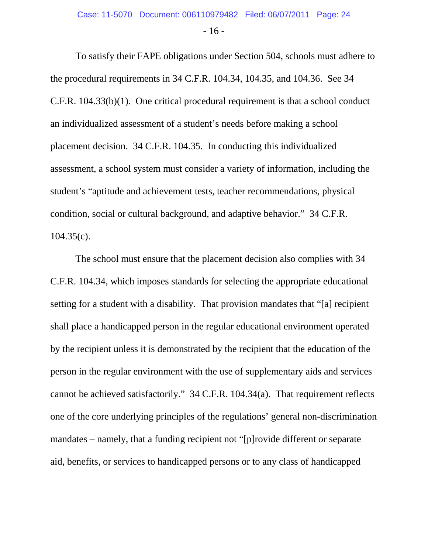- 16 -

To satisfy their FAPE obligations under Section 504, schools must adhere to the procedural requirements in 34 C.F.R. 104.34, 104.35, and 104.36. See 34 C.F.R. 104.33(b)(1). One critical procedural requirement is that a school conduct an individualized assessment of a student's needs before making a school placement decision. 34 C.F.R. 104.35. In conducting this individualized assessment, a school system must consider a variety of information, including the student's "aptitude and achievement tests, teacher recommendations, physical condition, social or cultural background, and adaptive behavior." 34 C.F.R. 104.35(c).

The school must ensure that the placement decision also complies with 34 C.F.R. 104.34, which imposes standards for selecting the appropriate educational setting for a student with a disability. That provision mandates that "[a] recipient shall place a handicapped person in the regular educational environment operated by the recipient unless it is demonstrated by the recipient that the education of the person in the regular environment with the use of supplementary aids and services cannot be achieved satisfactorily." 34 C.F.R. 104.34(a). That requirement reflects one of the core underlying principles of the regulations' general non-discrimination mandates – namely, that a funding recipient not "[p]rovide different or separate aid, benefits, or services to handicapped persons or to any class of handicapped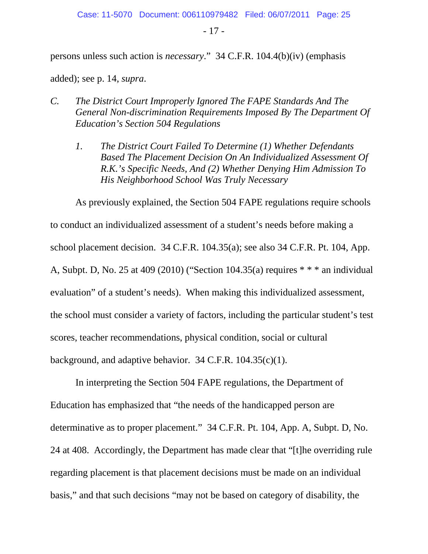- 17 -

persons unless such action is *necessary*." 34 C.F.R. 104.4(b)(iv) (emphasis

added); see p. 14, *supra*.

- *C. The District Court Improperly Ignored The FAPE Standards And The General Non-discrimination Requirements Imposed By The Department Of Education's Section 504 Regulations*
	- *1. The District Court Failed To Determine (1) Whether Defendants Based The Placement Decision On An Individualized Assessment Of R.K.'s Specific Needs, And (2) Whether Denying Him Admission To His Neighborhood School Was Truly Necessary*

As previously explained, the Section 504 FAPE regulations require schools to conduct an individualized assessment of a student's needs before making a school placement decision. 34 C.F.R. 104.35(a); see also 34 C.F.R. Pt. 104, App. A, Subpt. D, No. 25 at 409 (2010) ("Section 104.35(a) requires \* \* \* an individual evaluation" of a student's needs). When making this individualized assessment, the school must consider a variety of factors, including the particular student's test scores, teacher recommendations, physical condition, social or cultural background, and adaptive behavior. 34 C.F.R. 104.35(c)(1).

In interpreting the Section 504 FAPE regulations, the Department of Education has emphasized that "the needs of the handicapped person are determinative as to proper placement." 34 C.F.R. Pt. 104, App. A, Subpt. D, No. 24 at 408. Accordingly, the Department has made clear that "[t]he overriding rule regarding placement is that placement decisions must be made on an individual basis," and that such decisions "may not be based on category of disability, the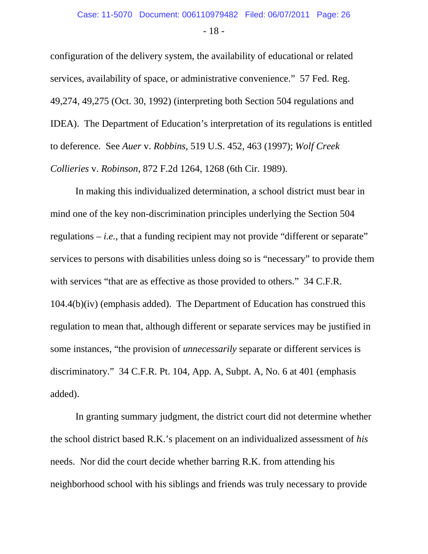- 18 -

configuration of the delivery system, the availability of educational or related services, availability of space, or administrative convenience." 57 Fed. Reg. 49,274, 49,275 (Oct. 30, 1992) (interpreting both Section 504 regulations and IDEA). The Department of Education's interpretation of its regulations is entitled to deference. See *Auer* v. *Robbins*, 519 U.S. 452, 463 (1997); *Wolf Creek Collieries* v. *Robinson*, 872 F.2d 1264, 1268 (6th Cir. 1989).

In making this individualized determination, a school district must bear in mind one of the key non-discrimination principles underlying the Section 504 regulations  $-i.e.,$  that a funding recipient may not provide "different or separate" services to persons with disabilities unless doing so is "necessary" to provide them with services "that are as effective as those provided to others." 34 C.F.R. 104.4(b)(iv) (emphasis added). The Department of Education has construed this regulation to mean that, although different or separate services may be justified in some instances, "the provision of *unnecessarily* separate or different services is discriminatory." 34 C.F.R. Pt. 104, App. A, Subpt. A, No. 6 at 401 (emphasis added).

In granting summary judgment, the district court did not determine whether the school district based R.K.'s placement on an individualized assessment of *his* needs. Nor did the court decide whether barring R.K. from attending his neighborhood school with his siblings and friends was truly necessary to provide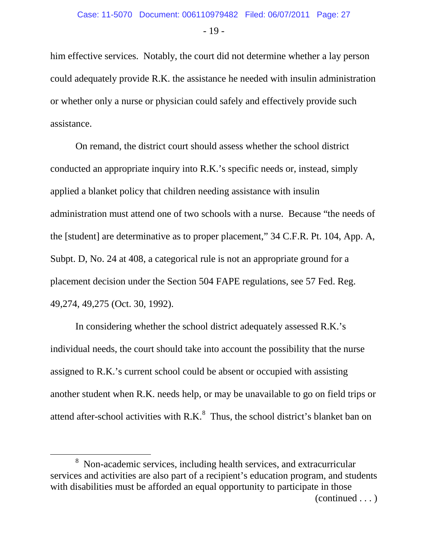- 19 -

him effective services. Notably, the court did not determine whether a lay person could adequately provide R.K. the assistance he needed with insulin administration or whether only a nurse or physician could safely and effectively provide such assistance.

On remand, the district court should assess whether the school district conducted an appropriate inquiry into R.K.'s specific needs or, instead, simply applied a blanket policy that children needing assistance with insulin administration must attend one of two schools with a nurse. Because "the needs of the [student] are determinative as to proper placement," 34 C.F.R. Pt. 104, App. A, Subpt. D, No. 24 at 408, a categorical rule is not an appropriate ground for a placement decision under the Section 504 FAPE regulations, see 57 Fed. Reg. 49,274, 49,275 (Oct. 30, 1992).

In considering whether the school district adequately assessed R.K.'s individual needs, the court should take into account the possibility that the nurse assigned to R.K.'s current school could be absent or occupied with assisting another student when R.K. needs help, or may be unavailable to go on field trips or attend after-school activities with  $R.K<sup>8</sup>$  $R.K<sup>8</sup>$  $R.K<sup>8</sup>$ . Thus, the school district's blanket ban on

<span id="page-26-0"></span> <sup>8</sup> <sup>8</sup> Non-academic services, including health services, and extracurricular services and activities are also part of a recipient's education program, and students with disabilities must be afforded an equal opportunity to participate in those (continued . . . )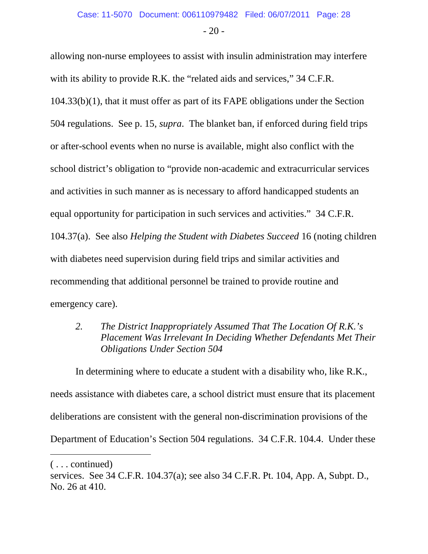$-20-$ 

allowing non-nurse employees to assist with insulin administration may interfere with its ability to provide R.K. the "related aids and services," 34 C.F.R. 104.33(b)(1), that it must offer as part of its FAPE obligations under the Section 504 regulations. See p. 15, *supra*. The blanket ban, if enforced during field trips or after-school events when no nurse is available, might also conflict with the school district's obligation to "provide non-academic and extracurricular services and activities in such manner as is necessary to afford handicapped students an equal opportunity for participation in such services and activities." 34 C.F.R. 104.37(a). See also *Helping the Student with Diabetes Succeed* 16 (noting children with diabetes need supervision during field trips and similar activities and recommending that additional personnel be trained to provide routine and emergency care).

*2. The District Inappropriately Assumed That The Location Of R.K.'s Placement Was Irrelevant In Deciding Whether Defendants Met Their Obligations Under Section 504*

In determining where to educate a student with a disability who, like R.K., needs assistance with diabetes care, a school district must ensure that its placement deliberations are consistent with the general non-discrimination provisions of the Department of Education's Section 504 regulations. 34 C.F.R. 104.4. Under these

 $\overline{a}$ 

<sup>( . . .</sup> continued)

services. See 34 C.F.R. 104.37(a); see also 34 C.F.R. Pt. 104, App. A, Subpt. D., No. 26 at 410.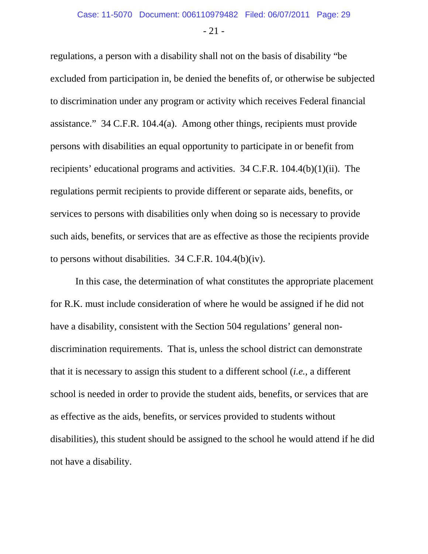- 21 -

regulations, a person with a disability shall not on the basis of disability "be excluded from participation in, be denied the benefits of, or otherwise be subjected to discrimination under any program or activity which receives Federal financial assistance." 34 C.F.R. 104.4(a). Among other things, recipients must provide persons with disabilities an equal opportunity to participate in or benefit from recipients' educational programs and activities. 34 C.F.R. 104.4(b)(1)(ii). The regulations permit recipients to provide different or separate aids, benefits, or services to persons with disabilities only when doing so is necessary to provide such aids, benefits, or services that are as effective as those the recipients provide to persons without disabilities. 34 C.F.R. 104.4(b)(iv).

In this case, the determination of what constitutes the appropriate placement for R.K. must include consideration of where he would be assigned if he did not have a disability, consistent with the Section 504 regulations' general nondiscrimination requirements. That is, unless the school district can demonstrate that it is necessary to assign this student to a different school (*i.e.*, a different school is needed in order to provide the student aids, benefits, or services that are as effective as the aids, benefits, or services provided to students without disabilities), this student should be assigned to the school he would attend if he did not have a disability.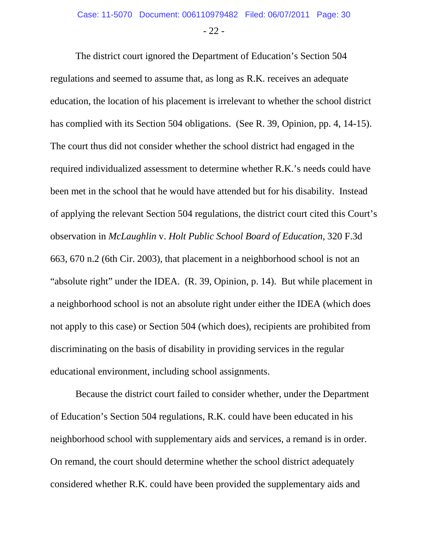The district court ignored the Department of Education's Section 504 regulations and seemed to assume that, as long as R.K. receives an adequate education, the location of his placement is irrelevant to whether the school district has complied with its Section 504 obligations. (See R. 39, Opinion, pp. 4, 14-15). The court thus did not consider whether the school district had engaged in the required individualized assessment to determine whether R.K.'s needs could have been met in the school that he would have attended but for his disability. Instead of applying the relevant Section 504 regulations, the district court cited this Court's observation in *McLaughlin* v. *Holt Public School Board of Education*, 320 F.3d 663, 670 n.2 (6th Cir. 2003), that placement in a neighborhood school is not an "absolute right" under the IDEA. (R. 39, Opinion, p. 14). But while placement in a neighborhood school is not an absolute right under either the IDEA (which does not apply to this case) or Section 504 (which does), recipients are prohibited from discriminating on the basis of disability in providing services in the regular educational environment, including school assignments.

Because the district court failed to consider whether, under the Department of Education's Section 504 regulations, R.K. could have been educated in his neighborhood school with supplementary aids and services, a remand is in order. On remand, the court should determine whether the school district adequately considered whether R.K. could have been provided the supplementary aids and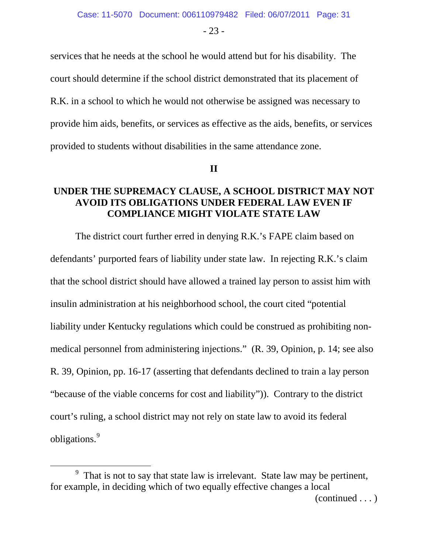- 23 -

services that he needs at the school he would attend but for his disability. The court should determine if the school district demonstrated that its placement of R.K. in a school to which he would not otherwise be assigned was necessary to provide him aids, benefits, or services as effective as the aids, benefits, or services provided to students without disabilities in the same attendance zone.

**II**

#### **UNDER THE SUPREMACY CLAUSE, A SCHOOL DISTRICT MAY NOT AVOID ITS OBLIGATIONS UNDER FEDERAL LAW EVEN IF COMPLIANCE MIGHT VIOLATE STATE LAW**

The district court further erred in denying R.K.'s FAPE claim based on defendants' purported fears of liability under state law. In rejecting R.K.'s claim that the school district should have allowed a trained lay person to assist him with insulin administration at his neighborhood school, the court cited "potential liability under Kentucky regulations which could be construed as prohibiting nonmedical personnel from administering injections." (R. 39, Opinion, p. 14; see also R. 39, Opinion, pp. 16-17 (asserting that defendants declined to train a lay person "because of the viable concerns for cost and liability")). Contrary to the district court's ruling, a school district may not rely on state law to avoid its federal obligations. [9](#page-30-0)

<span id="page-30-0"></span> $\overline{9}$  $<sup>9</sup>$  That is not to say that state law is irrelevant. State law may be pertinent,</sup> for example, in deciding which of two equally effective changes a local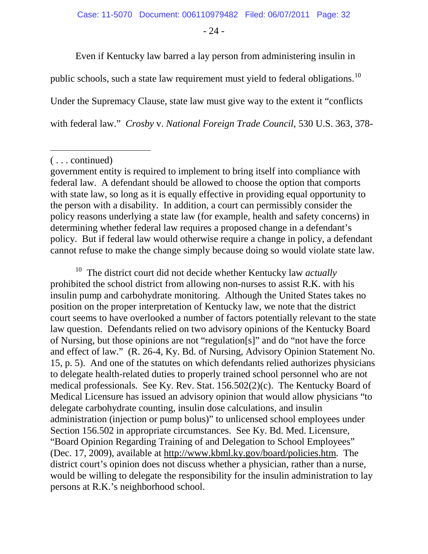- 24 -

Even if Kentucky law barred a lay person from administering insulin in

public schools, such a state law requirement must yield to federal obligations.<sup>[10](#page-31-0)</sup>

Under the Supremacy Clause, state law must give way to the extent it "conflicts

with federal law." *Crosby* v. *National Foreign Trade Council*, 530 U.S. 363, 378-

 $\overline{a}$ 

<span id="page-31-0"></span>10 The district court did not decide whether Kentucky law *actually* prohibited the school district from allowing non-nurses to assist R.K. with his insulin pump and carbohydrate monitoring. Although the United States takes no position on the proper interpretation of Kentucky law, we note that the district court seems to have overlooked a number of factors potentially relevant to the state law question. Defendants relied on two advisory opinions of the Kentucky Board of Nursing, but those opinions are not "regulation[s]" and do "not have the force and effect of law." (R. 26-4, Ky. Bd. of Nursing, Advisory Opinion Statement No. 15, p. 5). And one of the statutes on which defendants relied authorizes physicians to delegate health-related duties to properly trained school personnel who are not medical professionals. See Ky. Rev. Stat. 156.502(2)(c). The Kentucky Board of Medical Licensure has issued an advisory opinion that would allow physicians "to delegate carbohydrate counting, insulin dose calculations, and insulin administration (injection or pump bolus)" to unlicensed school employees under Section 156.502 in appropriate circumstances. See Ky. Bd. Med. Licensure, "Board Opinion Regarding Training of and Delegation to School Employees" (Dec. 17, 2009), available at [http://www.kbml.ky.gov/board/policies.htm.](http://www.kbml.ky.gov/board/policies.htm) The district court's opinion does not discuss whether a physician, rather than a nurse, would be willing to delegate the responsibility for the insulin administration to lay persons at R.K.'s neighborhood school.

<sup>( . . .</sup> continued)

government entity is required to implement to bring itself into compliance with federal law. A defendant should be allowed to choose the option that comports with state law, so long as it is equally effective in providing equal opportunity to the person with a disability. In addition, a court can permissibly consider the policy reasons underlying a state law (for example, health and safety concerns) in determining whether federal law requires a proposed change in a defendant's policy. But if federal law would otherwise require a change in policy, a defendant cannot refuse to make the change simply because doing so would violate state law.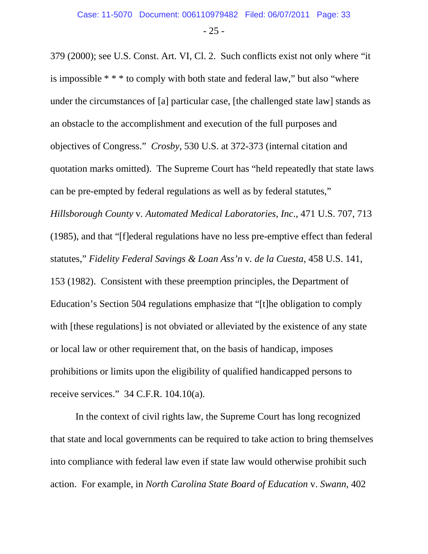- 25 -

379 (2000); see U.S. Const. Art. VI, Cl. 2. Such conflicts exist not only where "it is impossible \* \* \* to comply with both state and federal law," but also "where under the circumstances of [a] particular case, [the challenged state law] stands as an obstacle to the accomplishment and execution of the full purposes and objectives of Congress." *Crosby*, 530 U.S. at 372-373 (internal citation and quotation marks omitted). The Supreme Court has "held repeatedly that state laws can be pre-empted by federal regulations as well as by federal statutes," *Hillsborough County* v*. Automated Medical Laboratories, Inc*., 471 U.S. 707, 713 (1985), and that "[f]ederal regulations have no less pre-emptive effect than federal statutes," *Fidelity Federal Savings & Loan Ass'n* v*. de la Cuesta*, 458 U.S. 141, 153 (1982). Consistent with these preemption principles, the Department of Education's Section 504 regulations emphasize that "[t]he obligation to comply with [these regulations] is not obviated or alleviated by the existence of any state or local law or other requirement that, on the basis of handicap, imposes prohibitions or limits upon the eligibility of qualified handicapped persons to receive services." 34 C.F.R. 104.10(a).

In the context of civil rights law, the Supreme Court has long recognized that state and local governments can be required to take action to bring themselves into compliance with federal law even if state law would otherwise prohibit such action. For example, in *North Carolina State Board of Education* v. *Swann*, 402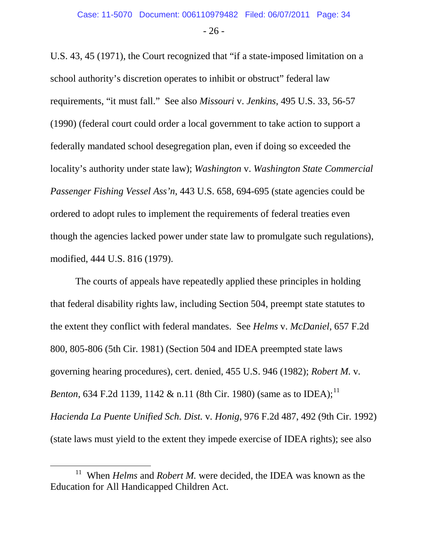- 26 -

U.S. 43, 45 (1971), the Court recognized that "if a state-imposed limitation on a school authority's discretion operates to inhibit or obstruct" federal law requirements, "it must fall." See also *Missouri* v. *Jenkins*, 495 U.S. 33, 56-57 (1990) (federal court could order a local government to take action to support a federally mandated school desegregation plan, even if doing so exceeded the locality's authority under state law); *Washington* v. *Washington State Commercial Passenger Fishing Vessel Ass'n*, 443 U.S. 658, 694-695 (state agencies could be ordered to adopt rules to implement the requirements of federal treaties even though the agencies lacked power under state law to promulgate such regulations), modified, 444 U.S. 816 (1979).

The courts of appeals have repeatedly applied these principles in holding that federal disability rights law, including Section 504, preempt state statutes to the extent they conflict with federal mandates. See *Helms* v. *McDaniel*, 657 F.2d 800, 805-806 (5th Cir. 1981) (Section 504 and IDEA preempted state laws governing hearing procedures), cert. denied, 455 U.S. 946 (1982); *Robert M.* v*. Benton*, 634 F.2d [11](#page-33-0)39, 1142 & n.11 (8th Cir. 1980) (same as to IDEA);<sup>11</sup> *Hacienda La Puente Unified Sch. Dist.* v*. Honig*, 976 F.2d 487, 492 (9th Cir. 1992) (state laws must yield to the extent they impede exercise of IDEA rights); see also

<span id="page-33-0"></span> <sup>11</sup> When *Helms* and *Robert M.* were decided, the IDEA was known as the Education for All Handicapped Children Act.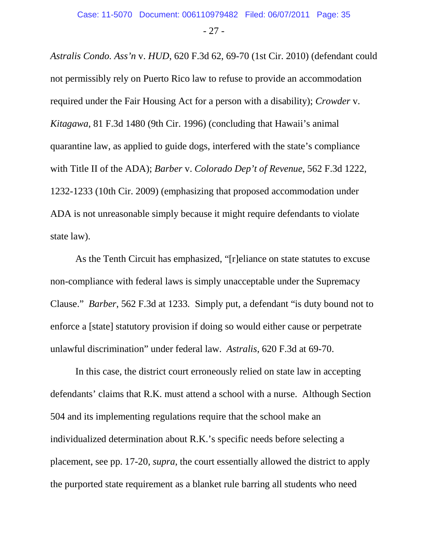- 27 -

*Astralis Condo. Ass'n* v. *HUD*, 620 F.3d 62, 69-70 (1st Cir. 2010) (defendant could not permissibly rely on Puerto Rico law to refuse to provide an accommodation required under the Fair Housing Act for a person with a disability); *Crowder* v. *Kitagawa*, 81 F.3d 1480 (9th Cir. 1996) (concluding that Hawaii's animal quarantine law, as applied to guide dogs, interfered with the state's compliance with Title II of the ADA); *Barber* v. *Colorado Dep't of Revenue*, 562 F.3d 1222, 1232-1233 (10th Cir. 2009) (emphasizing that proposed accommodation under ADA is not unreasonable simply because it might require defendants to violate state law).

As the Tenth Circuit has emphasized, "[r]eliance on state statutes to excuse non-compliance with federal laws is simply unacceptable under the Supremacy Clause." *Barber*, 562 F.3d at 1233*.* Simply put, a defendant "is duty bound not to enforce a [state] statutory provision if doing so would either cause or perpetrate unlawful discrimination" under federal law. *Astralis*, 620 F.3d at 69-70.

In this case, the district court erroneously relied on state law in accepting defendants' claims that R.K. must attend a school with a nurse. Although Section 504 and its implementing regulations require that the school make an individualized determination about R.K.'s specific needs before selecting a placement, see pp. 17-20, *supra*, the court essentially allowed the district to apply the purported state requirement as a blanket rule barring all students who need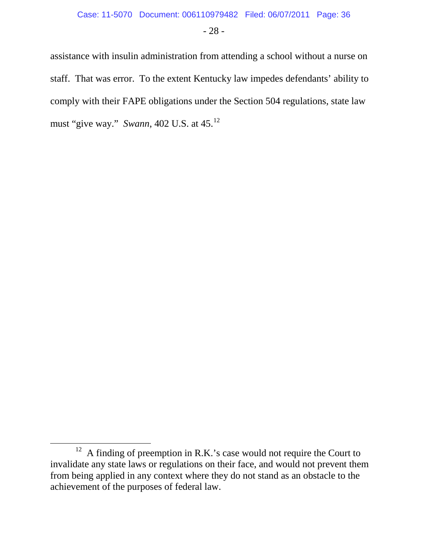- 28 -

assistance with insulin administration from attending a school without a nurse on staff. That was error. To the extent Kentucky law impedes defendants' ability to comply with their FAPE obligations under the Section 504 regulations, state law must "give way." *Swann*, 402 U.S. at 45.[12](#page-35-0)

<span id="page-35-0"></span> $12$  A finding of preemption in R.K.'s case would not require the Court to invalidate any state laws or regulations on their face, and would not prevent them from being applied in any context where they do not stand as an obstacle to the achievement of the purposes of federal law.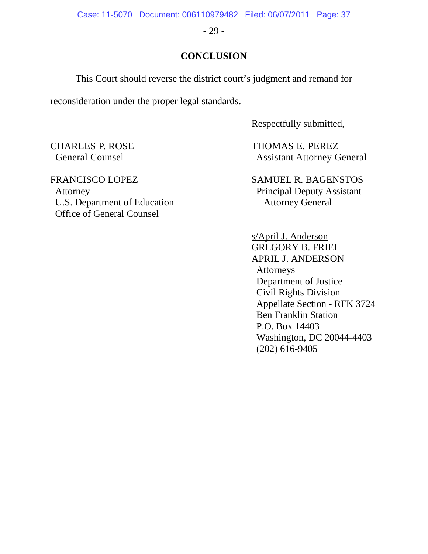Case: 11-5070 Document: 006110979482 Filed: 06/07/2011 Page: 37

- 29 -

#### **CONCLUSION**

This Court should reverse the district court's judgment and remand for

reconsideration under the proper legal standards.

Respectfully submitted,

CHARLES P. ROSE THOMAS E. PEREZ General Counsel **Assistant Attorney General** 

s/April J. Anderson GREGORY B. FRIEL APRIL J. ANDERSON Attorneys Department of Justice Civil Rights Division Appellate Section - RFK 3724 Ben Franklin Station P.O. Box 14403 Washington, DC 20044-4403 (202) 616-9405

FRANCISCO LOPEZ SAMUEL R. BAGENSTOS Attorney Principal Deputy Assistant U.S. Department of Education Attorney General Office of General Counsel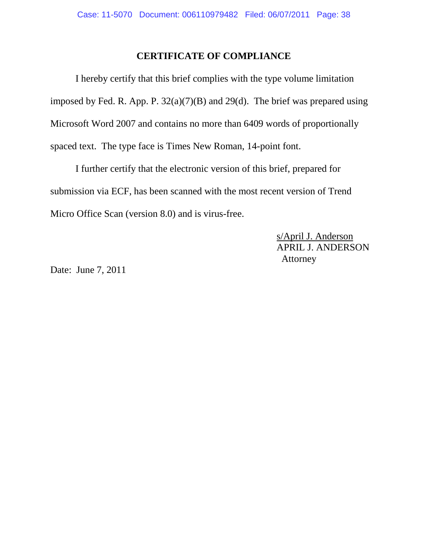#### **CERTIFICATE OF COMPLIANCE**

I hereby certify that this brief complies with the type volume limitation imposed by Fed. R. App. P.  $32(a)(7)(B)$  and  $29(d)$ . The brief was prepared using Microsoft Word 2007 and contains no more than 6409 words of proportionally spaced text. The type face is Times New Roman, 14-point font.

I further certify that the electronic version of this brief, prepared for submission via ECF, has been scanned with the most recent version of Trend Micro Office Scan (version 8.0) and is virus-free.

> s/April J. Anderson APRIL J. ANDERSON Attorney

Date: June 7, 2011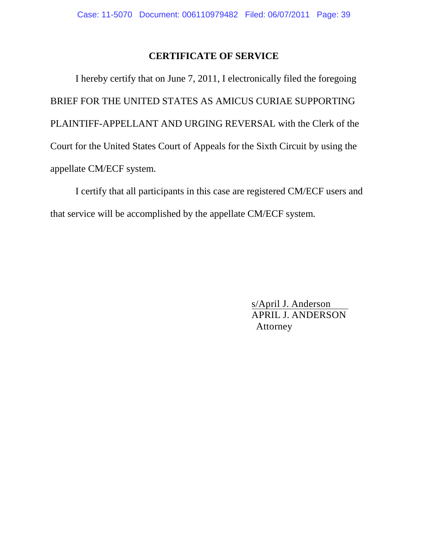#### **CERTIFICATE OF SERVICE**

I hereby certify that on June 7, 2011, I electronically filed the foregoing BRIEF FOR THE UNITED STATES AS AMICUS CURIAE SUPPORTING PLAINTIFF-APPELLANT AND URGING REVERSAL with the Clerk of the Court for the United States Court of Appeals for the Sixth Circuit by using the appellate CM/ECF system.

I certify that all participants in this case are registered CM/ECF users and that service will be accomplished by the appellate CM/ECF system.

> s/April J. Anderson APRIL J. ANDERSON Attorney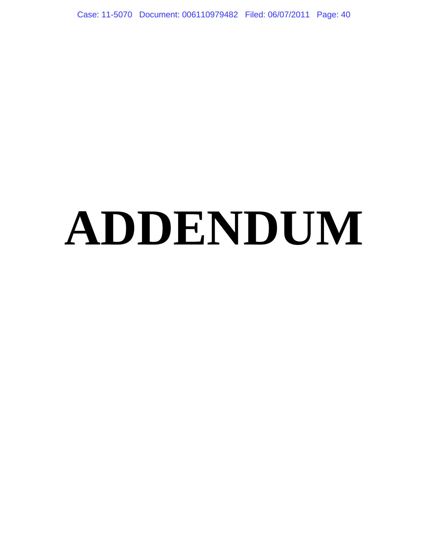Case: 11-5070 Document: 006110979482 Filed: 06/07/2011 Page: 40

# **ADDENDUM**